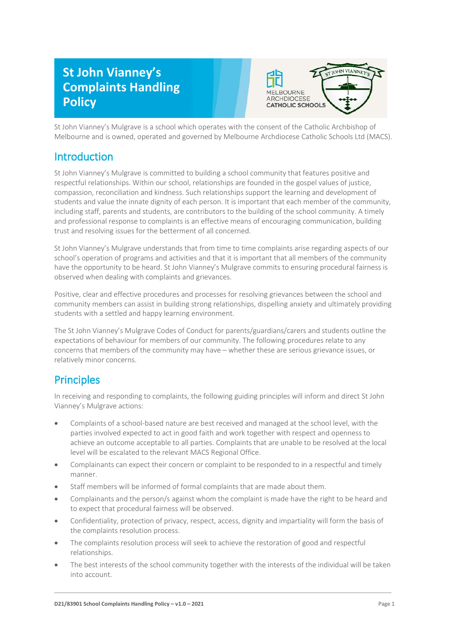# **St John Vianney's Complaints Handling Policy**



St John Vianney's Mulgrave is a school which operates with the consent of the Catholic Archbishop of Melbourne and is owned, operated and governed by Melbourne Archdiocese Catholic Schools Ltd (MACS).

### **Introduction**

St John Vianney's Mulgrave is committed to building a school community that features positive and respectful relationships. Within our school, relationships are founded in the gospel values of justice, compassion, reconciliation and kindness. Such relationships support the learning and development of students and value the innate dignity of each person. It is important that each member of the community, including staff, parents and students, are contributors to the building of the school community. A timely and professional response to complaints is an effective means of encouraging communication, building trust and resolving issues for the betterment of all concerned.

St John Vianney's Mulgrave understands that from time to time complaints arise regarding aspects of our school's operation of programs and activities and that it is important that all members of the community have the opportunity to be heard. St John Vianney's Mulgrave commits to ensuring procedural fairness is observed when dealing with complaints and grievances.

Positive, clear and effective procedures and processes for resolving grievances between the school and community members can assist in building strong relationships, dispelling anxiety and ultimately providing students with a settled and happy learning environment.

The St John Vianney's Mulgrave Codes of Conduct for parents/guardians/carers and students outline the expectations of behaviour for members of our community. The following procedures relate to any concerns that members of the community may have – whether these are serious grievance issues, or relatively minor concerns.

## **Principles**

In receiving and responding to complaints, the following guiding principles will inform and direct St John Vianney's Mulgrave actions:

- Complaints of a school-based nature are best received and managed at the school level, with the parties involved expected to act in good faith and work together with respect and openness to achieve an outcome acceptable to all parties. Complaints that are unable to be resolved at the local level will be escalated to the relevant MACS Regional Office.
- Complainants can expect their concern or complaint to be responded to in a respectful and timely manner.
- Staff members will be informed of formal complaints that are made about them.
- Complainants and the person/s against whom the complaint is made have the right to be heard and to expect that procedural fairness will be observed.
- Confidentiality, protection of privacy, respect, access, dignity and impartiality will form the basis of the complaints resolution process.
- The complaints resolution process will seek to achieve the restoration of good and respectful relationships.
- The best interests of the school community together with the interests of the individual will be taken into account.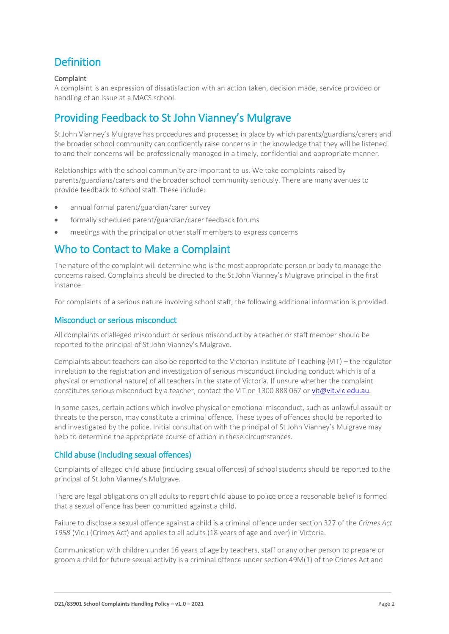## Definition

#### **Complaint**

A complaint is an expression of dissatisfaction with an action taken, decision made, service provided or handling of an issue at a MACS school.

### Providing Feedback to St John Vianney's Mulgrave

St John Vianney's Mulgrave has procedures and processes in place by which parents/guardians/carers and the broader school community can confidently raise concerns in the knowledge that they will be listened to and their concerns will be professionally managed in a timely, confidential and appropriate manner.

Relationships with the school community are important to us. We take complaints raised by parents/guardians/carers and the broader school community seriously. There are many avenues to provide feedback to school staff. These include:

- annual formal parent/guardian/carer survey
- formally scheduled parent/guardian/carer feedback forums
- meetings with the principal or other staff members to express concerns

### Who to Contact to Make a Complaint

The nature of the complaint will determine who is the most appropriate person or body to manage the concerns raised. Complaints should be directed to the St John Vianney's Mulgrave principal in the first instance.

For complaints of a serious nature involving school staff, the following additional information is provided.

#### Misconduct or serious misconduct

All complaints of alleged misconduct or serious misconduct by a teacher or staff member should be reported to the principal of St John Vianney's Mulgrave.

Complaints about teachers can also be reported to the Victorian Institute of Teaching (VIT) – the regulator in relation to the registration and investigation of serious misconduct (including conduct which is of a physical or emotional nature) of all teachers in the state of Victoria. If unsure whether the complaint constitutes serious misconduct by a teacher, contact the VIT on 1300 888 067 o[r vit@vit.vic.edu.au.](mailto:vit@vit.vic.edu.au)

In some cases, certain actions which involve physical or emotional misconduct, such as unlawful assault or threats to the person, may constitute a criminal offence. These types of offences should be reported to and investigated by the police. Initial consultation with the principal of St John Vianney's Mulgrave may help to determine the appropriate course of action in these circumstances.

#### Child abuse (including sexual offences)

Complaints of alleged child abuse (including sexual offences) of school students should be reported to the principal of St John Vianney's Mulgrave.

There are legal obligations on all adults to report child abuse to police once a reasonable belief is formed that a sexual offence has been committed against a child.

Failure to disclose a sexual offence against a child is a criminal offence under section 327 of the *Crimes Act 1958* (Vic.) (Crimes Act) and applies to all adults (18 years of age and over) in Victoria.

Communication with children under 16 years of age by teachers, staff or any other person to prepare or groom a child for future sexual activity is a criminal offence under section 49M(1) of the Crimes Act and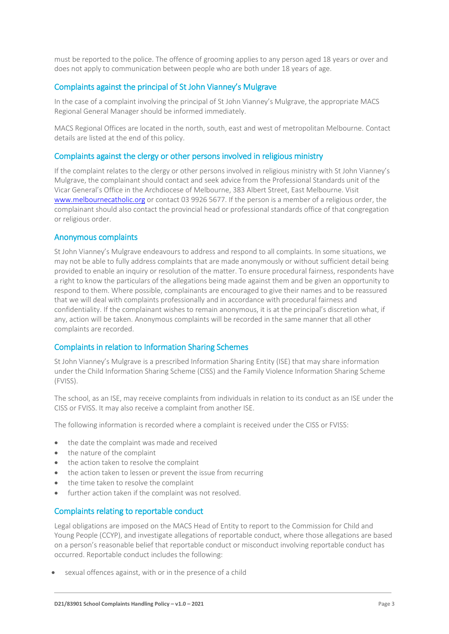must be reported to the police. The offence of grooming applies to any person aged 18 years or over and does not apply to communication between people who are both under 18 years of age.

#### Complaints against the principal of St John Vianney's Mulgrave

In the case of a complaint involving the principal of St John Vianney's Mulgrave, the appropriate MACS Regional General Manager should be informed immediately.

MACS Regional Offices are located in the north, south, east and west of metropolitan Melbourne. Contact details are listed at the end of this policy.

#### Complaints against the clergy or other persons involved in religious ministry

If the complaint relates to the clergy or other persons involved in religious ministry with St John Vianney's Mulgrave, the complainant should contact and seek advice from the Professional Standards unit of the Vicar General's Office in the Archdiocese of Melbourne, 383 Albert Street, East Melbourne. Visit [www.melbournecatholic.org](http://www.melbournecatholic.org/) or contact 03 9926 5677. If the person is a member of a religious order, the complainant should also contact the provincial head or professional standards office of that congregation or religious order.

#### Anonymous complaints

St John Vianney's Mulgrave endeavours to address and respond to all complaints. In some situations, we may not be able to fully address complaints that are made anonymously or without sufficient detail being provided to enable an inquiry or resolution of the matter. To ensure procedural fairness, respondents have a right to know the particulars of the allegations being made against them and be given an opportunity to respond to them. Where possible, complainants are encouraged to give their names and to be reassured that we will deal with complaints professionally and in accordance with procedural fairness and confidentiality. If the complainant wishes to remain anonymous, it is at the principal's discretion what, if any, action will be taken. Anonymous complaints will be recorded in the same manner that all other complaints are recorded.

#### Complaints in relation to Information Sharing Schemes

St John Vianney's Mulgrave is a prescribed Information Sharing Entity (ISE) that may share information under the Child Information Sharing Scheme (CISS) and the Family Violence Information Sharing Scheme (FVISS).

The school, as an ISE, may receive complaints from individuals in relation to its conduct as an ISE under the CISS or FVISS. It may also receive a complaint from another ISE.

The following information is recorded where a complaint is received under the CISS or FVISS:

- the date the complaint was made and received
- the nature of the complaint
- the action taken to resolve the complaint
- the action taken to lessen or prevent the issue from recurring
- the time taken to resolve the complaint
- further action taken if the complaint was not resolved.

#### Complaints relating to reportable conduct

Legal obligations are imposed on the MACS Head of Entity to report to the Commission for Child and Young People (CCYP), and investigate allegations of reportable conduct, where those allegations are based on a person's reasonable belief that reportable conduct or misconduct involving reportable conduct has occurred. Reportable conduct includes the following:

sexual offences against, with or in the presence of a child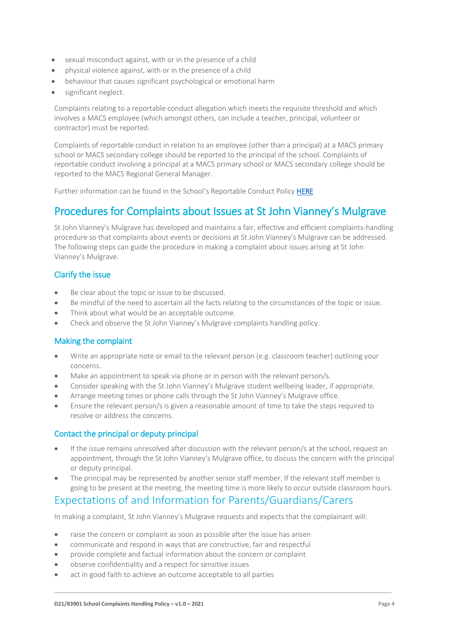- sexual misconduct against, with or in the presence of a child
- physical violence against, with or in the presence of a child
- behaviour that causes significant psychological or emotional harm
- significant neglect.

Complaints relating to a reportable conduct allegation which meets the requisite threshold and which involves a MACS employee (which amongst others, can include a teacher, principal, volunteer or contractor) must be reported.

Complaints of reportable conduct in relation to an employee (other than a principal) at a MACS primary school or MACS secondary college should be reported to the principal of the school. Complaints of reportable conduct involving a principal at a MACS primary school or MACS secondary college should be reported to the MACS Regional General Manager.

Further information can be found in the School's Reportable Conduct Policy [HERE](file://///sjv-fs01/homes$/staff/lsivic/SJV-MACS-Reportable_Conduct_Policy.pdf)

### Procedures for Complaints about Issues at St John Vianney's Mulgrave

St John Vianney's Mulgrave has developed and maintains a fair, effective and efficient complaints-handling procedure so that complaints about events or decisions at St John Vianney's Mulgrave can be addressed. The following steps can guide the procedure in making a complaint about issues arising at St John Vianney's Mulgrave.

#### Clarify the issue

- Be clear about the topic or issue to be discussed.
- Be mindful of the need to ascertain all the facts relating to the circumstances of the topic or issue.
- Think about what would be an acceptable outcome.
- Check and observe the St John Vianney's Mulgrave complaints handling policy.

#### Making the complaint

- Write an appropriate note or email to the relevant person (e.g. classroom teacher) outlining your concerns.
- Make an appointment to speak via phone or in person with the relevant person/s.
- Consider speaking with the St John Vianney's Mulgrave student wellbeing leader, if appropriate.
- Arrange meeting times or phone calls through the St John Vianney's Mulgrave office.
- Ensure the relevant person/s is given a reasonable amount of time to take the steps required to resolve or address the concerns.

#### Contact the principal or deputy principal

- If the issue remains unresolved after discussion with the relevant person/s at the school, request an appointment, through the St John Vianney's Mulgrave office, to discuss the concern with the principal or deputy principal.
- The principal may be represented by another senior staff member. If the relevant staff member is going to be present at the meeting, the meeting time is more likely to occur outside classroom hours.

### Expectations of and Information for Parents/Guardians/Carers

In making a complaint, St John Vianney's Mulgrave requests and expects that the complainant will:

- raise the concern or complaint as soon as possible after the issue has arisen
- communicate and respond in ways that are constructive, fair and respectful
- provide complete and factual information about the concern or complaint
- observe confidentiality and a respect for sensitive issues
- act in good faith to achieve an outcome acceptable to all parties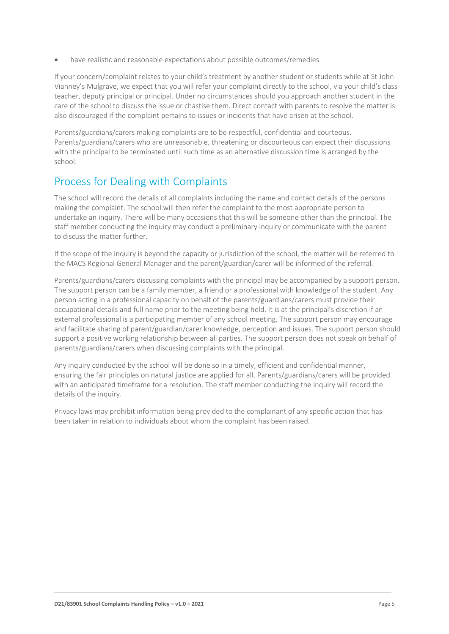have realistic and reasonable expectations about possible outcomes/remedies.

If your concern/complaint relates to your child's treatment by another student or students while at St John Vianney's Mulgrave, we expect that you will refer your complaint directly to the school, via your child's class teacher, deputy principal or principal. Under no circumstances should you approach another student in the care of the school to discuss the issue or chastise them. Direct contact with parents to resolve the matter is also discouraged if the complaint pertains to issues or incidents that have arisen at the school.

Parents/guardians/carers making complaints are to be respectful, confidential and courteous. Parents/guardians/carers who are unreasonable, threatening or discourteous can expect their discussions with the principal to be terminated until such time as an alternative discussion time is arranged by the school.

### Process for Dealing with Complaints

The school will record the details of all complaints including the name and contact details of the persons making the complaint. The school will then refer the complaint to the most appropriate person to undertake an inquiry. There will be many occasions that this will be someone other than the principal. The staff member conducting the inquiry may conduct a preliminary inquiry or communicate with the parent to discuss the matter further.

If the scope of the inquiry is beyond the capacity or jurisdiction of the school, the matter will be referred to the MACS Regional General Manager and the parent/guardian/carer will be informed of the referral.

Parents/guardians/carers discussing complaints with the principal may be accompanied by a support person. The support person can be a family member, a friend or a professional with knowledge of the student. Any person acting in a professional capacity on behalf of the parents/guardians/carers must provide their occupational details and full name prior to the meeting being held. It is at the principal's discretion if an external professional is a participating member of any school meeting. The support person may encourage and facilitate sharing of parent/guardian/carer knowledge, perception and issues. The support person should support a positive working relationship between all parties. The support person does not speak on behalf of parents/guardians/carers when discussing complaints with the principal.

Any inquiry conducted by the school will be done so in a timely, efficient and confidential manner, ensuring the fair principles on natural justice are applied for all. Parents/guardians/carers will be provided with an anticipated timeframe for a resolution. The staff member conducting the inquiry will record the details of the inquiry.

Privacy laws may prohibit information being provided to the complainant of any specific action that has been taken in relation to individuals about whom the complaint has been raised.